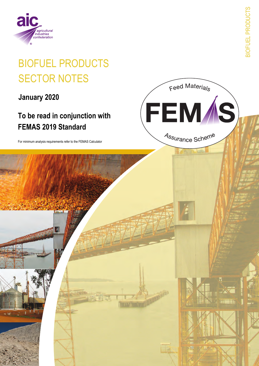

# **BIOFUEL PRODUCTS SECTOR NOTES**

January 2020

## To be read in conjunction with **FEMAS 2019 Standard**

For minimum analysis requirements refer to the FEMAS Calculator

**BIOFUEL PRODUCTS** 

Feed Materials

**FEMAS** 

Assurance Scheme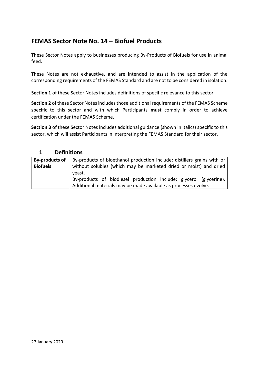#### **FEMAS Sector Note No. 14 – Biofuel Products**

These Sector Notes apply to businesses producing By-Products of Biofuels for use in animal feed.

These Notes are not exhaustive, and are intended to assist in the application of the corresponding requirements of the FEMAS Standard and are not to be considered in isolation.

**Section 1** of these Sector Notes includes definitions of specific relevance to this sector.

**Section 2** of these Sector Notes includes those additional requirements of the FEMAS Scheme specific to this sector and with which Participants **must** comply in order to achieve certification under the FEMAS Scheme.

**Section 3** of these Sector Notes includes additional guidance (shown in italics) specific to this sector, which will assist Participants in interpreting the FEMAS Standard for their sector.

| <b>Definitions</b><br>1 |                                                                             |  |  |
|-------------------------|-----------------------------------------------------------------------------|--|--|
| By-products of          | By-products of bioethanol production include: distillers grains with or     |  |  |
| <b>Biofuels</b>         | without solubles (which may be marketed dried or moist) and dried<br>yeast. |  |  |
|                         | By-products of biodiesel production include: glycerol (glycerine).          |  |  |
|                         | Additional materials may be made available as processes evolve.             |  |  |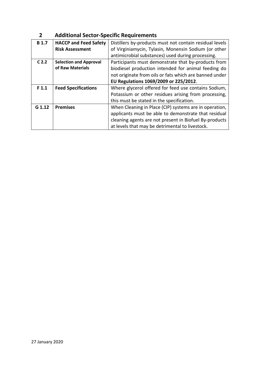#### **2 Additional Sector-Specific Requirements**

| <b>B</b> 1.7     | <b>HACCP and Feed Safety</b>  | Distillers by-products must not contain residual levels |
|------------------|-------------------------------|---------------------------------------------------------|
|                  | <b>Risk Assessment</b>        | of Virginiamycin, Tylasin, Monensin Sodium (or other    |
|                  |                               | antimicrobial substances) used during processing.       |
| C <sub>2.2</sub> | <b>Selection and Approval</b> | Participants must demonstrate that by-products from     |
|                  | of Raw Materials              | biodiesel production intended for animal feeding do     |
|                  |                               | not originate from oils or fats which are banned under  |
|                  |                               | EU Regulations 1069/2009 or 225/2012.                   |
| F <sub>1.1</sub> | <b>Feed Specifications</b>    | Where glycerol offered for feed use contains Sodium,    |
|                  |                               | Potassium or other residues arising from processing,    |
|                  |                               | this must be stated in the specification.               |
| G 1.12           | <b>Premises</b>               | When Cleaning in Place (CIP) systems are in operation,  |
|                  |                               | applicants must be able to demonstrate that residual    |
|                  |                               | cleaning agents are not present in Biofuel By-products  |
|                  |                               | at levels that may be detrimental to livestock.         |